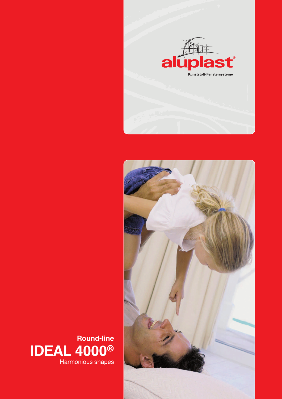



**IDEAL 4000®** Harmonious shapes **Round-line**